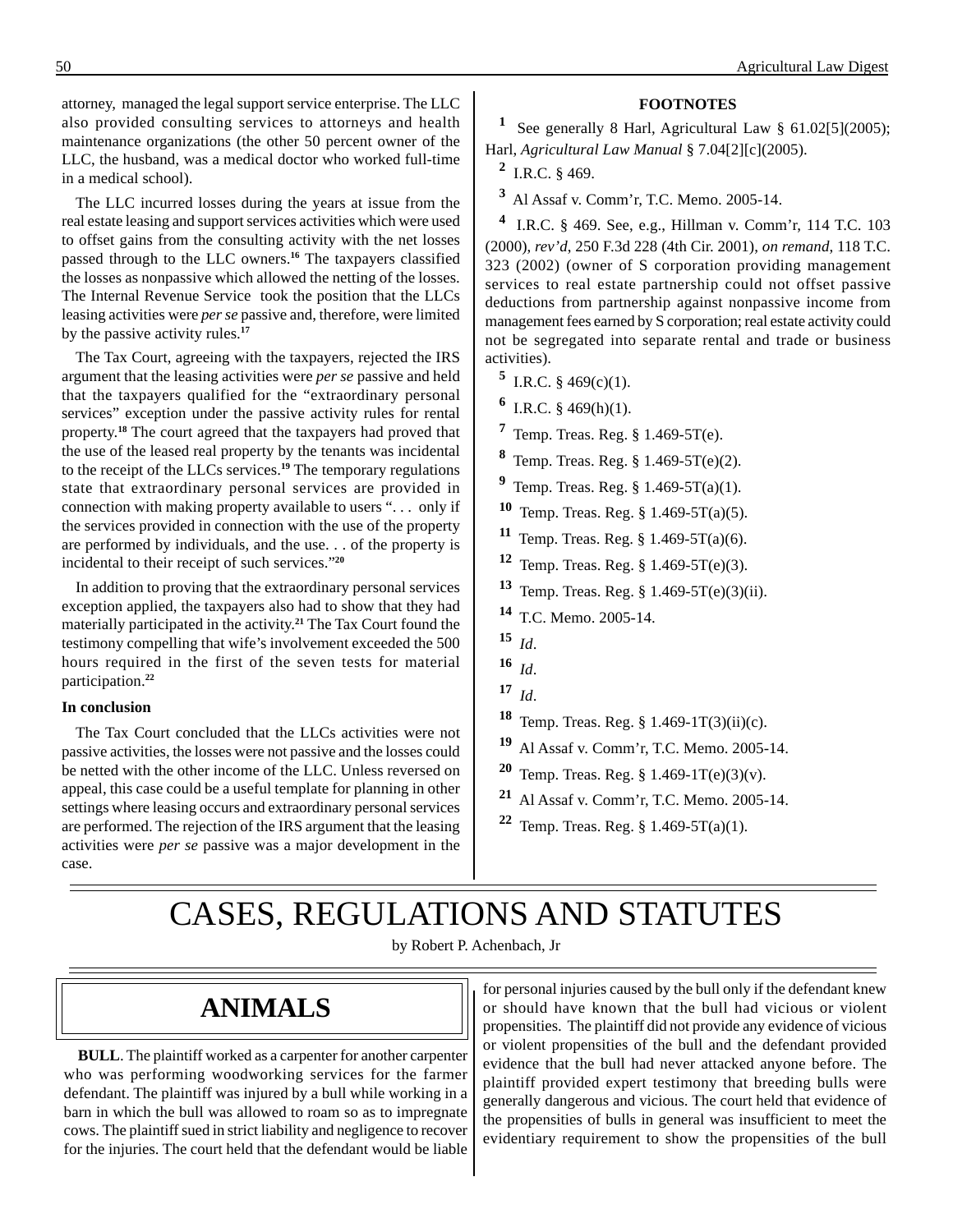attorney, managed the legal support service enterprise. The LLC also provided consulting services to attorneys and health maintenance organizations (the other 50 percent owner of the LLC, the husband, was a medical doctor who worked full-time in a medical school).

The LLC incurred losses during the years at issue from the real estate leasing and support services activities which were used to offset gains from the consulting activity with the net losses passed through to the LLC owners.**<sup>16</sup>**The taxpayers classified the losses as nonpassive which allowed the netting of the losses. The Internal Revenue Service took the position that the LLCs leasing activities were *per se* passive and, therefore, were limited by the passive activity rules.**<sup>17</sup>**

The Tax Court, agreeing with the taxpayers, rejected the IRS argument that the leasing activities were *per se* passive and held that the taxpayers qualified for the "extraordinary personal services" exception under the passive activity rules for rental property. **<sup>18</sup>**The court agreed that the taxpayers had proved that the use of the leased real property by the tenants was incidental to the receipt of the LLCs services.**<sup>19</sup>**The temporary regulations state that extraordinary personal services are provided in connection with making property available to users ". . . only if the services provided in connection with the use of the property are performed by individuals, and the use. . . of the property is incidental to their receipt of such services."**<sup>20</sup>**

In addition to proving that the extraordinary personal services exception applied, the taxpayers also had to show that they had materially participated in the activity. **<sup>21</sup>**The Tax Court found the testimony compelling that wife's involvement exceeded the 500 hours required in the first of the seven tests for material participation.**<sup>22</sup>**

#### **In conclusion**

The Tax Court concluded that the LLCs activities were not passive activities, the losses were not passive and the losses could be netted with the other income of the LLC. Unless reversed on appeal, this case could be a useful template for planning in other settings where leasing occurs and extraordinary personal services are performed. The rejection of the IRS argument that the leasing activities were *per se* passive was a major development in the case.

#### **FOOTNOTES**

<sup>1</sup> See generally 8 Harl, Agricultural Law § 61.02[5](2005); Harl, *Agricultural Law Manual* § 7.04[2][c](2005).

**<sup>2</sup>** I.R.C. § 469.

**<sup>3</sup>**Al Assaf v. Comm'r, T.C. Memo. 2005-14.

**<sup>4</sup>**I.R.C. § 469. See, e.g., Hillman v. Comm'r, 114 T.C. 103 (2000), *rev'd*, 250 F.3d 228 (4th Cir. 2001), *on remand*, 118 T.C. 323 (2002) (owner of S corporation providing management services to real estate partnership could not offset passive deductions from partnership against nonpassive income from management fees earned by S corporation; real estate activity could not be segregated into separate rental and trade or business activities).

- **5** I.R.C. § 469(c)(1).
- **<sup>6</sup>** I.R.C. § 469(h)(1).
- **<sup>7</sup>**Temp. Treas. Reg. § 1.469-5T(e).
- **<sup>8</sup>**Temp. Treas. Reg. § 1.469-5T(e)(2).
- **<sup>9</sup>**Temp. Treas. Reg. § 1.469-5T(a)(1).
- **<sup>10</sup>**Temp. Treas. Reg. § 1.469-5T(a)(5).
- **<sup>11</sup>**Temp. Treas. Reg. § 1.469-5T(a)(6).
- **<sup>12</sup>**Temp. Treas. Reg. § 1.469-5T(e)(3).
- **<sup>13</sup>**Temp. Treas. Reg. § 1.469-5T(e)(3)(ii).
- **<sup>14</sup>**T.C. Memo. 2005-14.
- **<sup>15</sup>***Id*.
- $16$  *Id.*
- $17 \; Id.$
- **<sup>18</sup>**Temp. Treas. Reg. § 1.469-1T(3)(ii)(c).
- **<sup>19</sup>**Al Assaf v. Comm'r, T.C. Memo. 2005-14.
- **<sup>20</sup>**Temp. Treas. Reg. § 1.469-1T(e)(3)(v).
- **<sup>21</sup>**Al Assaf v. Comm'r, T.C. Memo. 2005-14.
- **22** Temp. Treas. Reg.  $\S$  1.469-5T(a)(1).

# CASES, REGULATIONS AND STATUTES

by Robert P. Achenbach, Jr

## **ANIMALS**

**BULL**. The plaintiff worked as a carpenter for another carpenter who was performing woodworking services for the farmer defendant. The plaintiff was injured by a bull while working in a barn in which the bull was allowed to roam so as to impregnate cows. The plaintiff sued in strict liability and negligence to recover for the injuries. The court held that the defendant would be liable for personal injuries caused by the bull only if the defendant knew or should have known that the bull had vicious or violent propensities. The plaintiff did not provide any evidence of vicious or violent propensities of the bull and the defendant provided evidence that the bull had never attacked anyone before. The plaintiff provided expert testimony that breeding bulls were generally dangerous and vicious. The court held that evidence of the propensities of bulls in general was insufficient to meet the evidentiary requirement to show the propensities of the bull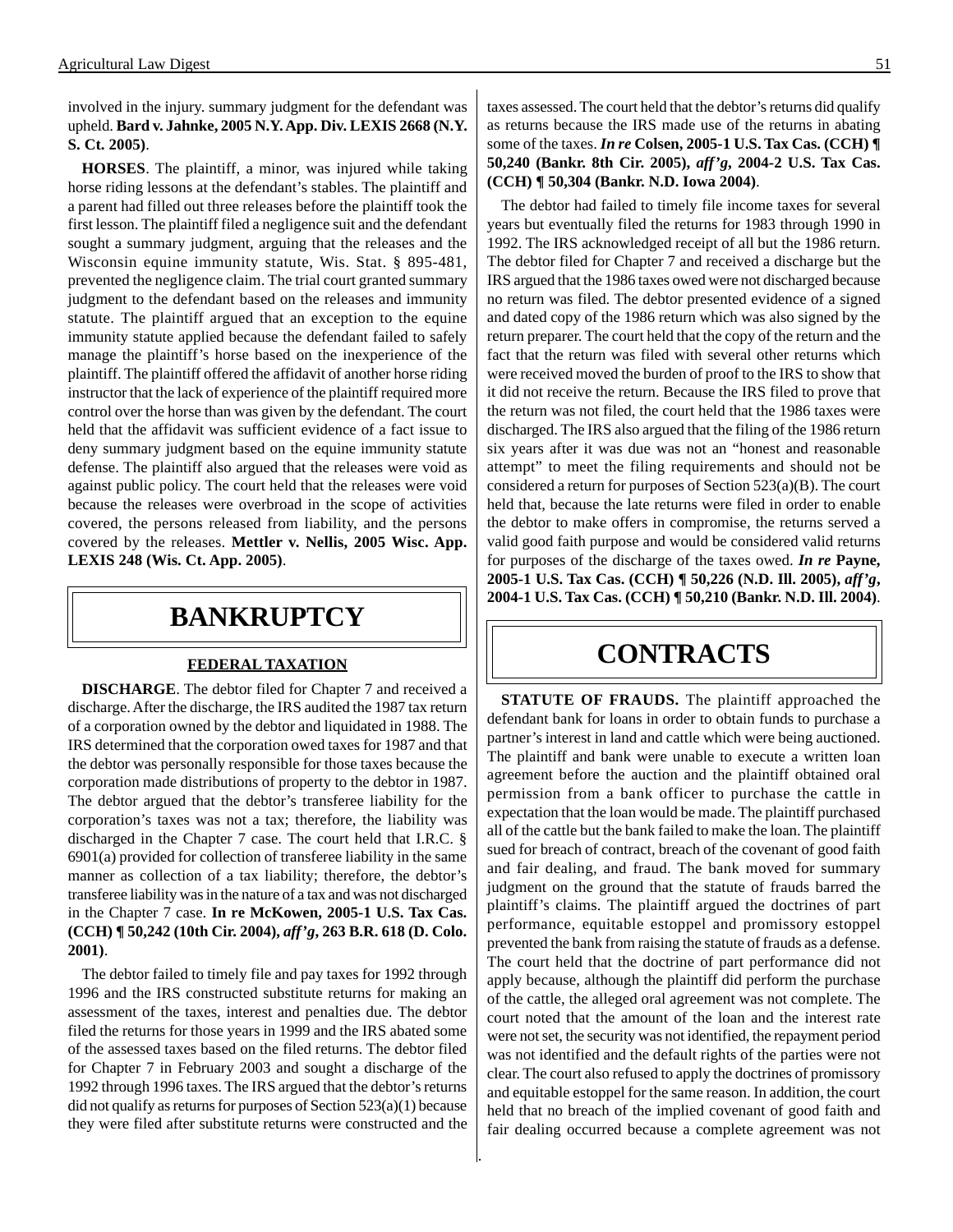involved in the injury. summary judgment for the defendant was upheld. **Bard v. Jahnke, 2005 N.Y. App. Div. LEXIS 2668 (N.Y. S. Ct. 2005)**.

**HORSES**. The plaintiff, a minor, was injured while taking horse riding lessons at the defendant's stables. The plaintiff and a parent had filled out three releases before the plaintiff took the first lesson. The plaintiff filed a negligence suit and the defendant sought a summary judgment, arguing that the releases and the Wisconsin equine immunity statute, Wis. Stat. § 895-481, prevented the negligence claim. The trial court granted summary judgment to the defendant based on the releases and immunity statute. The plaintiff argued that an exception to the equine immunity statute applied because the defendant failed to safely manage the plaintiff's horse based on the inexperience of the plaintiff. The plaintiff offered the affidavit of another horse riding instructor that the lack of experience of the plaintiff required more control over the horse than was given by the defendant. The court held that the affidavit was sufficient evidence of a fact issue to deny summary judgment based on the equine immunity statute defense. The plaintiff also argued that the releases were void as against public policy. The court held that the releases were void because the releases were overbroad in the scope of activities covered, the persons released from liability, and the persons covered by the releases. **Mettler v. Nellis, 2005 Wisc. App. LEXIS 248 (Wis. Ct. App. 2005)**.

### **BANKRUPTCY**

#### **FEDERAL TAXATION**

**DISCHARGE**. The debtor filed for Chapter 7 and received a discharge. After the discharge, the IRS audited the 1987 tax return of a corporation owned by the debtor and liquidated in 1988. The IRS determined that the corporation owed taxes for 1987 and that the debtor was personally responsible for those taxes because the corporation made distributions of property to the debtor in 1987. The debtor argued that the debtor's transferee liability for the corporation's taxes was not a tax; therefore, the liability was discharged in the Chapter 7 case. The court held that I.R.C. § 6901(a) provided for collection of transferee liability in the same manner as collection of a tax liability; therefore, the debtor's transferee liability was in the nature of a tax and was not discharged in the Chapter 7 case. **In re McKowen, 2005-1 U.S. Tax Cas. (CCH) ¶ 50,242 (10th Cir. 2004),** *aff'g***, 263 B.R. 618 (D. Colo. 2001)**.

The debtor failed to timely file and pay taxes for 1992 through 1996 and the IRS constructed substitute returns for making an assessment of the taxes, interest and penalties due. The debtor filed the returns for those years in 1999 and the IRS abated some of the assessed taxes based on the filed returns. The debtor filed for Chapter 7 in February 2003 and sought a discharge of the 1992 through 1996 taxes. The IRS argued that the debtor's returns did not qualify as returns for purposes of Section 523(a)(1) because they were filed after substitute returns were constructed and the taxes assessed. The court held that the debtor's returns did qualify as returns because the IRS made use of the returns in abating some of the taxes. *In re* **Colsen, 2005-1 U.S. Tax Cas. (CCH) ¶ 50,240 (Bankr. 8th Cir. 2005),** *aff'g***, 2004-2 U.S. Tax Cas. (CCH) ¶ 50,304 (Bankr. N.D. Iowa 2004)**.

The debtor had failed to timely file income taxes for several years but eventually filed the returns for 1983 through 1990 in 1992. The IRS acknowledged receipt of all but the 1986 return. The debtor filed for Chapter 7 and received a discharge but the IRS argued that the 1986 taxes owed were not discharged because no return was filed. The debtor presented evidence of a signed and dated copy of the 1986 return which was also signed by the return preparer. The court held that the copy of the return and the fact that the return was filed with several other returns which were received moved the burden of proof to the IRS to show that it did not receive the return. Because the IRS filed to prove that the return was not filed, the court held that the 1986 taxes were discharged. The IRS also argued that the filing of the 1986 return six years after it was due was not an "honest and reasonable attempt" to meet the filing requirements and should not be considered a return for purposes of Section 523(a)(B). The court held that, because the late returns were filed in order to enable the debtor to make offers in compromise, the returns served a valid good faith purpose and would be considered valid returns for purposes of the discharge of the taxes owed. *In re* **Payne, 2005-1 U.S. Tax Cas. (CCH) ¶ 50,226 (N.D. Ill. 2005),** *aff'g***, 2004-1 U.S. Tax Cas. (CCH) ¶ 50,210 (Bankr. N.D. Ill. 2004)**.

### **CONTRACTS**

**STATUTE OF FRAUDS.** The plaintiff approached the defendant bank for loans in order to obtain funds to purchase a partner's interest in land and cattle which were being auctioned. The plaintiff and bank were unable to execute a written loan agreement before the auction and the plaintiff obtained oral permission from a bank officer to purchase the cattle in expectation that the loan would be made. The plaintiff purchased all of the cattle but the bank failed to make the loan. The plaintiff sued for breach of contract, breach of the covenant of good faith and fair dealing, and fraud. The bank moved for summary judgment on the ground that the statute of frauds barred the plaintiff's claims. The plaintiff argued the doctrines of part performance, equitable estoppel and promissory estoppel prevented the bank from raising the statute of frauds as a defense. The court held that the doctrine of part performance did not apply because, although the plaintiff did perform the purchase of the cattle, the alleged oral agreement was not complete. The court noted that the amount of the loan and the interest rate were not set, the security was not identified, the repayment period was not identified and the default rights of the parties were not clear. The court also refused to apply the doctrines of promissory and equitable estoppel for the same reason. In addition, the court held that no breach of the implied covenant of good faith and fair dealing occurred because a complete agreement was not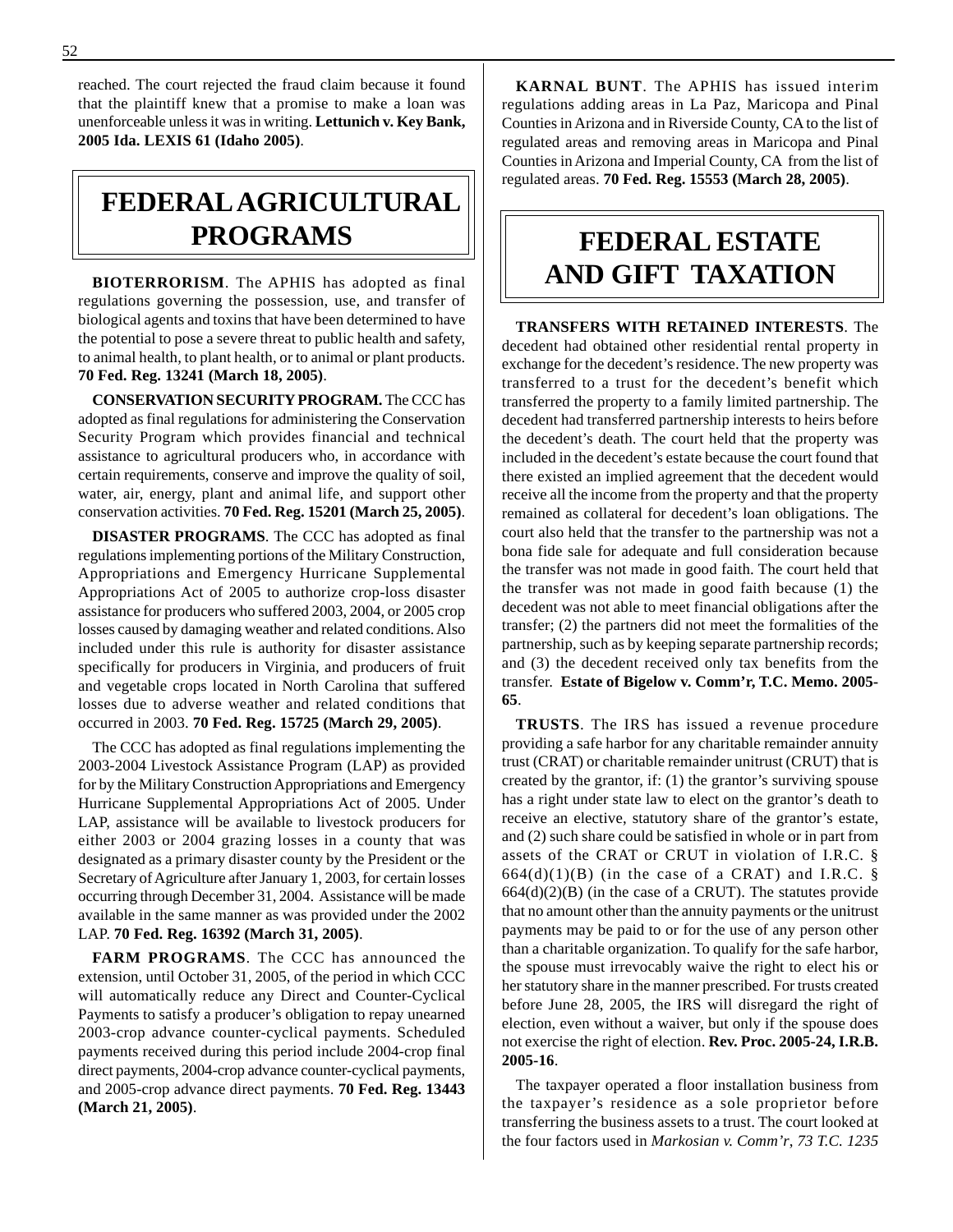reached. The court rejected the fraud claim because it found that the plaintiff knew that a promise to make a loan was unenforceable unless it was in writing. **Lettunich v. Key Bank, 2005 Ida. LEXIS 61 (Idaho 2005)**.

## **FEDERAL AGRICULTURAL PROGRAMS**

**BIOTERRORISM**. The APHIS has adopted as final regulations governing the possession, use, and transfer of biological agents and toxins that have been determined to have the potential to pose a severe threat to public health and safety, to animal health, to plant health, or to animal or plant products. **70 Fed. Reg. 13241 (March 18, 2005)**.

**CONSERVATION SECURITY PROGRAM.** The CCC has adopted as final regulations for administering the Conservation Security Program which provides financial and technical assistance to agricultural producers who, in accordance with certain requirements, conserve and improve the quality of soil, water, air, energy, plant and animal life, and support other conservation activities. **70 Fed. Reg. 15201 (March 25, 2005)**.

**DISASTER PROGRAMS**. The CCC has adopted as final regulations implementing portions of the Military Construction, Appropriations and Emergency Hurricane Supplemental Appropriations Act of 2005 to authorize crop-loss disaster assistance for producers who suffered 2003, 2004, or 2005 crop losses caused by damaging weather and related conditions. Also included under this rule is authority for disaster assistance specifically for producers in Virginia, and producers of fruit and vegetable crops located in North Carolina that suffered losses due to adverse weather and related conditions that occurred in 2003. **70 Fed. Reg. 15725 (March 29, 2005)**.

The CCC has adopted as final regulations implementing the 2003-2004 Livestock Assistance Program (LAP) as provided for by the Military Construction Appropriations and Emergency Hurricane Supplemental Appropriations Act of 2005. Under LAP, assistance will be available to livestock producers for either 2003 or 2004 grazing losses in a county that was designated as a primary disaster county by the President or the Secretary of Agriculture after January 1, 2003, for certain losses occurring through December 31, 2004. Assistance will be made available in the same manner as was provided under the 2002 LAP. **70 Fed. Reg. 16392 (March 31, 2005)**.

**FARM PROGRAMS**. The CCC has announced the extension, until October 31, 2005, of the period in which CCC will automatically reduce any Direct and Counter-Cyclical Payments to satisfy a producer's obligation to repay unearned 2003-crop advance counter-cyclical payments. Scheduled payments received during this period include 2004-crop final direct payments, 2004-crop advance counter-cyclical payments, and 2005-crop advance direct payments. **70 Fed. Reg. 13443 (March 21, 2005)**.

**KARNAL BUNT**. The APHIS has issued interim regulations adding areas in La Paz, Maricopa and Pinal Counties in Arizona and in Riverside County, CA to the list of regulated areas and removing areas in Maricopa and Pinal Counties in Arizona and Imperial County, CA from the list of regulated areas. **70 Fed. Reg. 15553 (March 28, 2005)**.

## **FEDERAL ESTATE AND GIFT TAXATION**

**TRANSFERS WITH RETAINED INTERESTS**. The decedent had obtained other residential rental property in exchange for the decedent's residence. The new property was transferred to a trust for the decedent's benefit which transferred the property to a family limited partnership. The decedent had transferred partnership interests to heirs before the decedent's death. The court held that the property was included in the decedent's estate because the court found that there existed an implied agreement that the decedent would receive all the income from the property and that the property remained as collateral for decedent's loan obligations. The court also held that the transfer to the partnership was not a bona fide sale for adequate and full consideration because the transfer was not made in good faith. The court held that the transfer was not made in good faith because (1) the decedent was not able to meet financial obligations after the transfer; (2) the partners did not meet the formalities of the partnership, such as by keeping separate partnership records; and (3) the decedent received only tax benefits from the transfer. **Estate of Bigelow v. Comm'r, T.C. Memo. 2005 65**.

**TRUSTS**. The IRS has issued a revenue procedure providing a safe harbor for any charitable remainder annuity trust (CRAT) or charitable remainder unitrust (CRUT) that is created by the grantor, if: (1) the grantor's surviving spouse has a right under state law to elect on the grantor's death to receive an elective, statutory share of the grantor's estate, and (2) such share could be satisfied in whole or in part from assets of the CRAT or CRUT in violation of I.R.C. §  $664(d)(1)(B)$  (in the case of a CRAT) and I.R.C. §  $664(d)(2)(B)$  (in the case of a CRUT). The statutes provide that no amount other than the annuity payments or the unitrust payments may be paid to or for the use of any person other than a charitable organization. To qualify for the safe harbor, the spouse must irrevocably waive the right to elect his or her statutory share in the manner prescribed. For trusts created before June 28, 2005, the IRS will disregard the right of election, even without a waiver, but only if the spouse does not exercise the right of election. **Rev. Proc. 2005-24, I.R.B. 2005-16**.

The taxpayer operated a floor installation business from the taxpayer's residence as a sole proprietor before transferring the business assets to a trust. The court looked at the four factors used in *Markosian v. Comm'r*, *73 T.C. 1235*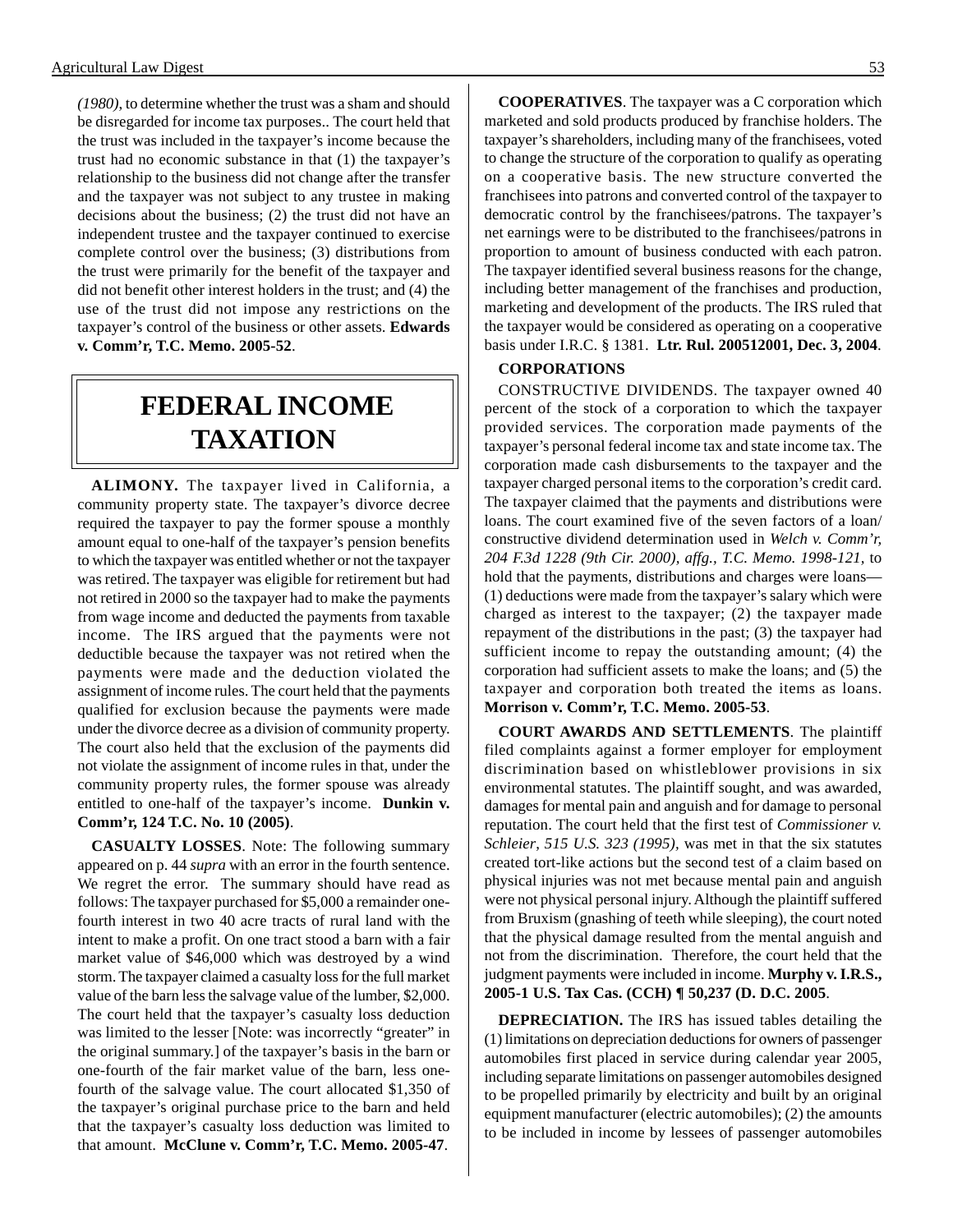*(1980)*, to determine whether the trust was a sham and should be disregarded for income tax purposes.. The court held that the trust was included in the taxpayer's income because the trust had no economic substance in that (1) the taxpayer's relationship to the business did not change after the transfer and the taxpayer was not subject to any trustee in making decisions about the business; (2) the trust did not have an independent trustee and the taxpayer continued to exercise complete control over the business; (3) distributions from the trust were primarily for the benefit of the taxpayer and did not benefit other interest holders in the trust; and (4) the use of the trust did not impose any restrictions on the taxpayer's control of the business or other assets. **Edwards v. Comm'r, T.C. Memo. 2005-52**.

## **FEDERAL INCOME TAXATION**

**ALIMONY.** The taxpayer lived in California, a community property state. The taxpayer's divorce decree required the taxpayer to pay the former spouse a monthly amount equal to one-half of the taxpayer's pension benefits to which the taxpayer was entitled whether or not the taxpayer was retired. The taxpayer was eligible for retirement but had not retired in 2000 so the taxpayer had to make the payments from wage income and deducted the payments from taxable income. The IRS argued that the payments were not deductible because the taxpayer was not retired when the payments were made and the deduction violated the assignment of income rules. The court held that the payments qualified for exclusion because the payments were made under the divorce decree as a division of community property. The court also held that the exclusion of the payments did not violate the assignment of income rules in that, under the community property rules, the former spouse was already entitled to one-half of the taxpayer's income. **Dunkin v. Comm'r, 124 T.C. No. 10 (2005)**.

**CASUALTY LOSSES**. Note: The following summary appeared on p. 44 *supra* with an error in the fourth sentence. We regret the error. The summary should have read as follows: The taxpayer purchased for \$5,000 a remainder onefourth interest in two 40 acre tracts of rural land with the intent to make a profit. On one tract stood a barn with a fair market value of \$46,000 which was destroyed by a wind storm. The taxpayer claimed a casualty loss for the full market value of the barn less the salvage value of the lumber, \$2,000. The court held that the taxpayer's casualty loss deduction was limited to the lesser [Note: was incorrectly "greater" in the original summary.] of the taxpayer's basis in the barn or one-fourth of the fair market value of the barn, less onefourth of the salvage value. The court allocated \$1,350 of the taxpayer's original purchase price to the barn and held that the taxpayer's casualty loss deduction was limited to that amount. **McClune v. Comm'r, T.C. Memo. 2005-47**.

**COOPERATIVES**. The taxpayer was a C corporation which marketed and sold products produced by franchise holders. The taxpayer's shareholders, including many of the franchisees, voted to change the structure of the corporation to qualify as operating on a cooperative basis. The new structure converted the franchisees into patrons and converted control of the taxpayer to democratic control by the franchisees/patrons. The taxpayer's net earnings were to be distributed to the franchisees/patrons in proportion to amount of business conducted with each patron. The taxpayer identified several business reasons for the change, including better management of the franchises and production, marketing and development of the products. The IRS ruled that the taxpayer would be considered as operating on a cooperative basis under I.R.C. § 1381. **Ltr. Rul. 200512001, Dec. 3, 2004**.

#### **CORPORATIONS**

CONSTRUCTIVE DIVIDENDS. The taxpayer owned 40 percent of the stock of a corporation to which the taxpayer provided services. The corporation made payments of the taxpayer's personal federal income tax and state income tax. The corporation made cash disbursements to the taxpayer and the taxpayer charged personal items to the corporation's credit card. The taxpayer claimed that the payments and distributions were loans. The court examined five of the seven factors of a loan/ constructive dividend determination used in *Welch v. Comm'r, 204 F.3d 1228 (9th Cir. 2000), affg., T.C. Memo. 1998-121,* to hold that the payments, distributions and charges were loans— (1) deductions were made from the taxpayer's salary which were charged as interest to the taxpayer; (2) the taxpayer made repayment of the distributions in the past; (3) the taxpayer had sufficient income to repay the outstanding amount; (4) the corporation had sufficient assets to make the loans; and (5) the taxpayer and corporation both treated the items as loans. **Morrison v. Comm'r, T.C. Memo. 2005-53**.

**COURT AWARDS AND SETTLEMENTS**. The plaintiff filed complaints against a former employer for employment discrimination based on whistleblower provisions in six environmental statutes. The plaintiff sought, and was awarded, damages for mental pain and anguish and for damage to personal reputation. The court held that the first test of *Commissioner v. Schleier*, *515 U.S. 323 (1995),* was met in that the six statutes created tort-like actions but the second test of a claim based on physical injuries was not met because mental pain and anguish were not physical personal injury. Although the plaintiff suffered from Bruxism (gnashing of teeth while sleeping), the court noted that the physical damage resulted from the mental anguish and not from the discrimination. Therefore, the court held that the judgment payments were included in income. **Murphy v. I.R.S., 2005-1 U.S. Tax Cas. (CCH) ¶ 50,237 (D. D.C. 2005**.

**DEPRECIATION.** The IRS has issued tables detailing the (1) limitations on depreciation deductions for owners of passenger automobiles first placed in service during calendar year 2005, including separate limitations on passenger automobiles designed to be propelled primarily by electricity and built by an original equipment manufacturer (electric automobiles); (2) the amounts to be included in income by lessees of passenger automobiles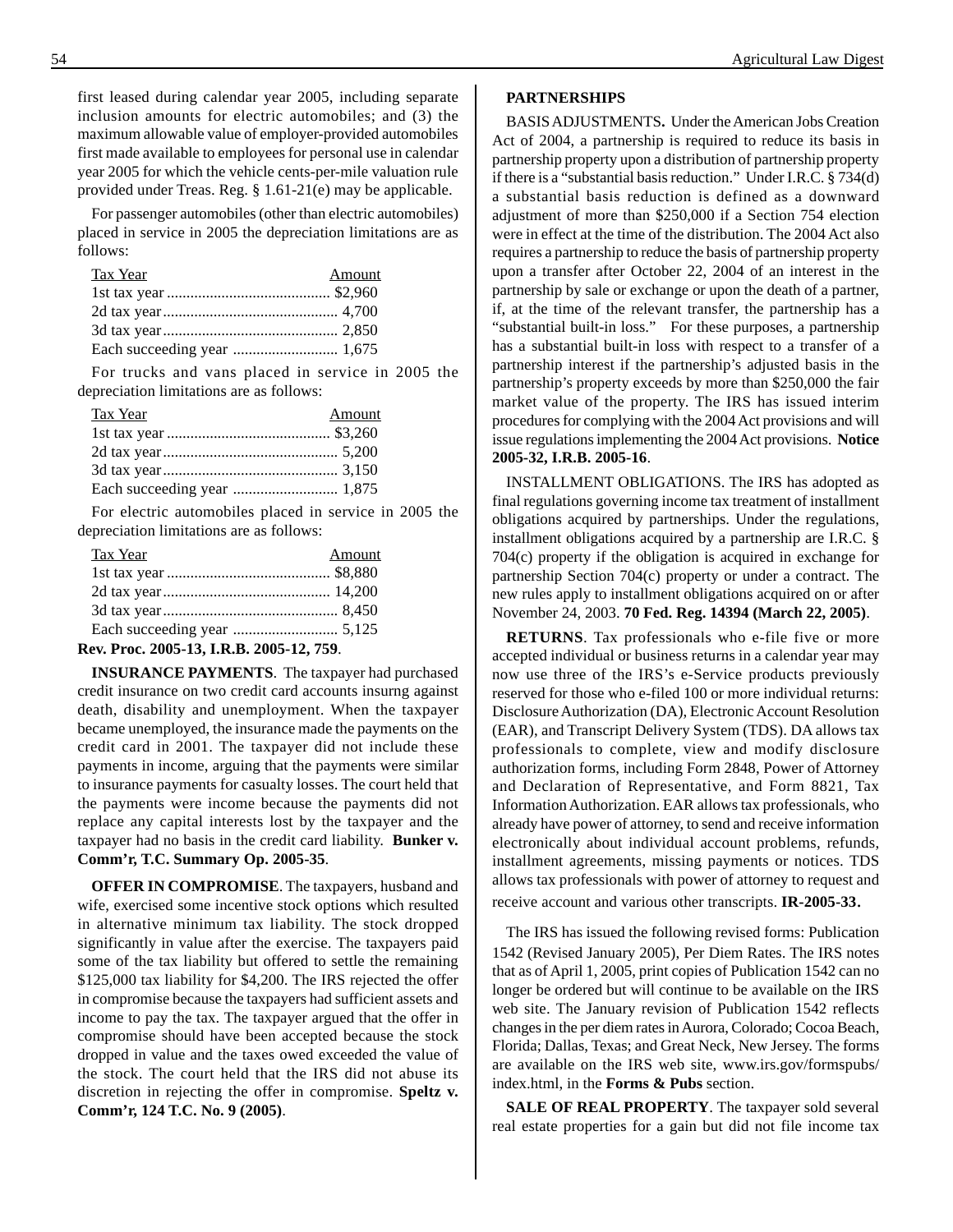first leased during calendar year 2005, including separate inclusion amounts for electric automobiles; and (3) the maximum allowable value of employer-provided automobiles first made available to employees for personal use in calendar year 2005 for which the vehicle cents-per-mile valuation rule provided under Treas. Reg. § 1.61-21(e) may be applicable.

For passenger automobiles (other than electric automobiles) placed in service in 2005 the depreciation limitations are as follows:

| <b>Tax Year</b> | Amount |
|-----------------|--------|
|                 |        |
|                 |        |
|                 |        |
|                 |        |

For trucks and vans placed in service in 2005 the depreciation limitations are as follows:

| <u>Tax Year</u> | Amount |
|-----------------|--------|
|                 |        |
|                 |        |
|                 |        |
|                 |        |

For electric automobiles placed in service in 2005 the depreciation limitations are as follows:

| <b>Tax Year</b>             | Amount |
|-----------------------------|--------|
|                             |        |
|                             |        |
|                             |        |
|                             |        |
| $P_1 = 4007427778840074877$ |        |

**Rev. Proc. 2005-13, I.R.B. 2005-12, 759**.

**INSURANCE PAYMENTS**. The taxpayer had purchased credit insurance on two credit card accounts insurng against death, disability and unemployment. When the taxpayer became unemployed, the insurance made the payments on the credit card in 2001. The taxpayer did not include these payments in income, arguing that the payments were similar to insurance payments for casualty losses. The court held that the payments were income because the payments did not replace any capital interests lost by the taxpayer and the taxpayer had no basis in the credit card liability. **Bunker v. Comm'r, T.C. Summary Op. 2005-35**.

**OFFER IN COMPROMISE**. The taxpayers, husband and wife, exercised some incentive stock options which resulted in alternative minimum tax liability. The stock dropped significantly in value after the exercise. The taxpayers paid some of the tax liability but offered to settle the remaining \$125,000 tax liability for \$4,200. The IRS rejected the offer in compromise because the taxpayers had sufficient assets and income to pay the tax. The taxpayer argued that the offer in compromise should have been accepted because the stock dropped in value and the taxes owed exceeded the value of the stock. The court held that the IRS did not abuse its discretion in rejecting the offer in compromise. **Speltz v. Comm'r, 124 T.C. No. 9 (2005)**.

#### **PARTNERSHIPS**

BASIS ADJUSTMENTS**.** Under the American Jobs Creation Act of 2004, a partnership is required to reduce its basis in partnership property upon a distribution of partnership property if there is a "substantial basis reduction." Under I.R.C. § 734(d) a substantial basis reduction is defined as a downward adjustment of more than \$250,000 if a Section 754 election were in effect at the time of the distribution. The 2004 Act also requires a partnership to reduce the basis of partnership property upon a transfer after October 22, 2004 of an interest in the partnership by sale or exchange or upon the death of a partner, if, at the time of the relevant transfer, the partnership has a "substantial built-in loss." For these purposes, a partnership has a substantial built-in loss with respect to a transfer of a partnership interest if the partnership's adjusted basis in the partnership's property exceeds by more than \$250,000 the fair market value of the property. The IRS has issued interim procedures for complying with the 2004 Act provisions and will issue regulations implementing the 2004 Act provisions. **Notice 2005-32, I.R.B. 2005-16**.

INSTALLMENT OBLIGATIONS. The IRS has adopted as final regulations governing income tax treatment of installment obligations acquired by partnerships. Under the regulations, installment obligations acquired by a partnership are I.R.C. § 704(c) property if the obligation is acquired in exchange for partnership Section 704(c) property or under a contract. The new rules apply to installment obligations acquired on or after November 24, 2003. **70 Fed. Reg. 14394 (March 22, 2005)**.

**RETURNS**. Tax professionals who e-file five or more accepted individual or business returns in a calendar year may now use three of the IRS's e-Service products previously reserved for those who e-filed 100 or more individual returns: Disclosure Authorization (DA), Electronic Account Resolution (EAR), and Transcript Delivery System (TDS). DA allows tax professionals to complete, view and modify disclosure authorization forms, including Form 2848, Power of Attorney and Declaration of Representative, and Form 8821, Tax Information Authorization. EAR allows tax professionals, who already have power of attorney, to send and receive information electronically about individual account problems, refunds, installment agreements, missing payments or notices. TDS allows tax professionals with power of attorney to request and receive account and various other transcripts. **IR-2005-33**.

The IRS has issued the following revised forms: Publication 1542 (Revised January 2005), Per Diem Rates. The IRS notes that as of April 1, 2005, print copies of Publication 1542 can no longer be ordered but will continue to be available on the IRS web site. The January revision of Publication 1542 reflects changes in the per diem rates in Aurora, Colorado; Cocoa Beach, Florida; Dallas, Texas; and Great Neck, New Jersey. The forms are available on the IRS web site, www.irs.gov/formspubs/ index.html, in the **Forms & Pubs** section.

**SALE OF REAL PROPERTY**. The taxpayer sold several real estate properties for a gain but did not file income tax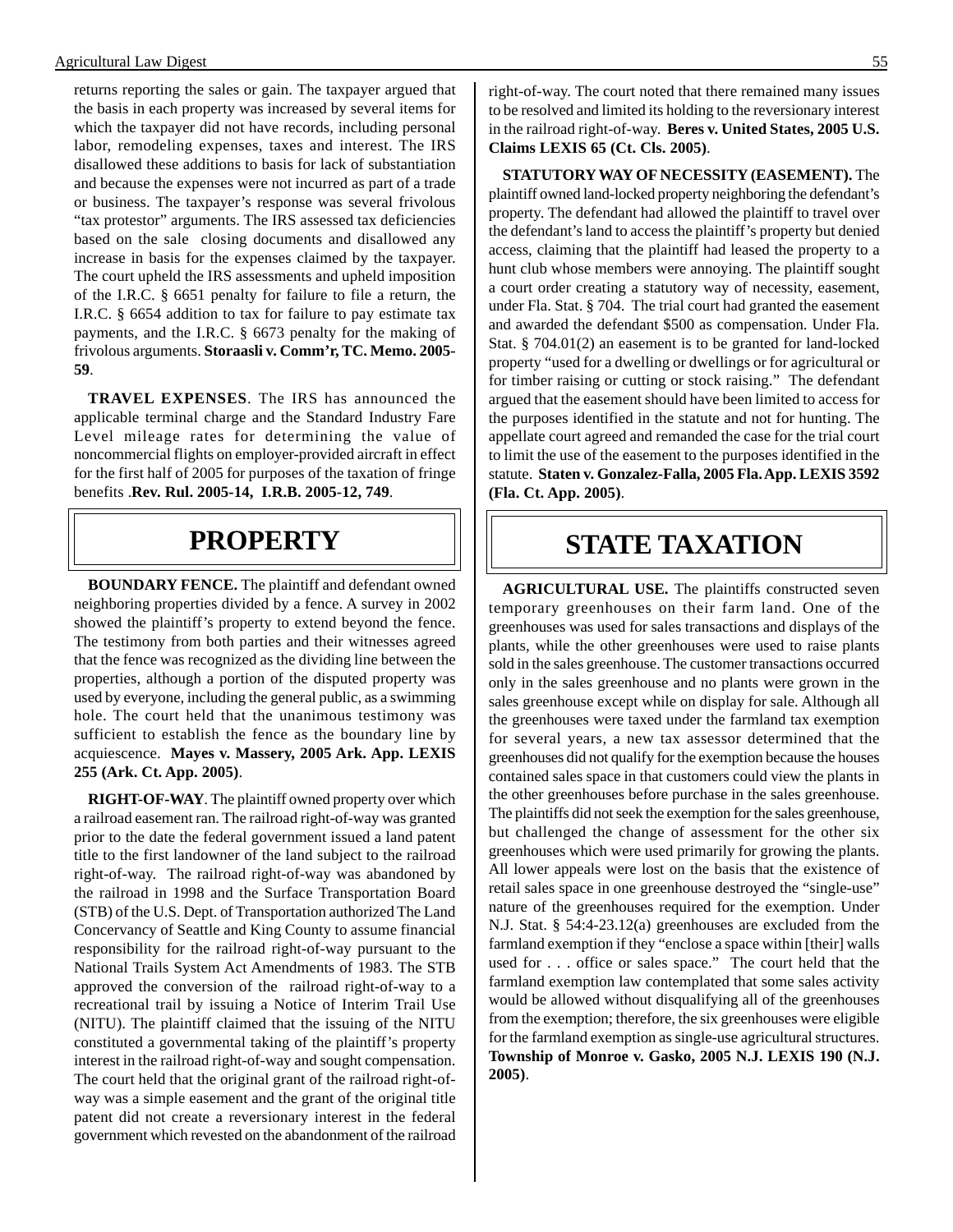returns reporting the sales or gain. The taxpayer argued that the basis in each property was increased by several items for which the taxpayer did not have records, including personal labor, remodeling expenses, taxes and interest. The IRS disallowed these additions to basis for lack of substantiation and because the expenses were not incurred as part of a trade or business. The taxpayer's response was several frivolous "tax protestor" arguments. The IRS assessed tax deficiencies based on the sale closing documents and disallowed any increase in basis for the expenses claimed by the taxpayer. The court upheld the IRS assessments and upheld imposition of the I.R.C. § 6651 penalty for failure to file a return, the I.R.C. § 6654 addition to tax for failure to pay estimate tax payments, and the I.R.C. § 6673 penalty for the making of frivolous arguments. **Storaasli v. Comm'r, TC. Memo. 2005 59**.

**TRAVEL EXPENSES**. The IRS has announced the applicable terminal charge and the Standard Industry Fare Level mileage rates for determining the value of noncommercial flights on employer-provided aircraft in effect for the first half of 2005 for purposes of the taxation of fringe benefits .**Rev. Rul. 2005-14, I.R.B. 2005-12, 749**.

### **PROPERTY**

**BOUNDARY FENCE.** The plaintiff and defendant owned neighboring properties divided by a fence. A survey in 2002 showed the plaintiff's property to extend beyond the fence. The testimony from both parties and their witnesses agreed that the fence was recognized as the dividing line between the properties, although a portion of the disputed property was used by everyone, including the general public, as a swimming hole. The court held that the unanimous testimony was sufficient to establish the fence as the boundary line by acquiescence. **Mayes v. Massery, 2005 Ark. App. LEXIS 255 (Ark. Ct. App. 2005)**.

**RIGHT-OF-WAY**. The plaintiff owned property over which a railroad easement ran. The railroad right-of-way was granted prior to the date the federal government issued a land patent title to the first landowner of the land subject to the railroad right-of-way. The railroad right-of-way was abandoned by the railroad in 1998 and the Surface Transportation Board (STB) of the U.S. Dept. of Transportation authorized The Land Concervancy of Seattle and King County to assume financial responsibility for the railroad right-of-way pursuant to the National Trails System Act Amendments of 1983. The STB approved the conversion of the railroad right-of-way to a recreational trail by issuing a Notice of Interim Trail Use (NITU). The plaintiff claimed that the issuing of the NITU constituted a governmental taking of the plaintiff's property interest in the railroad right-of-way and sought compensation. The court held that the original grant of the railroad right-ofway was a simple easement and the grant of the original title patent did not create a reversionary interest in the federal government which revested on the abandonment of the railroad

right-of-way. The court noted that there remained many issues to be resolved and limited its holding to the reversionary interest in the railroad right-of-way. **Beres v. United States, 2005 U.S. Claims LEXIS 65 (Ct. Cls. 2005)**.

**STATUTORY WAY OF NECESSITY (EASEMENT).** The plaintiff owned land-locked property neighboring the defendant's property. The defendant had allowed the plaintiff to travel over the defendant's land to access the plaintiff's property but denied access, claiming that the plaintiff had leased the property to a hunt club whose members were annoying. The plaintiff sought a court order creating a statutory way of necessity, easement, under Fla. Stat. § 704. The trial court had granted the easement and awarded the defendant \$500 as compensation. Under Fla. Stat. § 704.01(2) an easement is to be granted for land-locked property "used for a dwelling or dwellings or for agricultural or for timber raising or cutting or stock raising." The defendant argued that the easement should have been limited to access for the purposes identified in the statute and not for hunting. The appellate court agreed and remanded the case for the trial court to limit the use of the easement to the purposes identified in the statute. **Staten v. Gonzalez-Falla, 2005 Fla. App. LEXIS 3592 (Fla. Ct. App. 2005)**.

## **STATE TAXATION**

**AGRICULTURAL USE.** The plaintiffs constructed seven temporary greenhouses on their farm land. One of the greenhouses was used for sales transactions and displays of the plants, while the other greenhouses were used to raise plants sold in the sales greenhouse. The customer transactions occurred only in the sales greenhouse and no plants were grown in the sales greenhouse except while on display for sale. Although all the greenhouses were taxed under the farmland tax exemption for several years, a new tax assessor determined that the greenhouses did not qualify for the exemption because the houses contained sales space in that customers could view the plants in the other greenhouses before purchase in the sales greenhouse. The plaintiffs did not seek the exemption for the sales greenhouse, but challenged the change of assessment for the other six greenhouses which were used primarily for growing the plants. All lower appeals were lost on the basis that the existence of retail sales space in one greenhouse destroyed the "single-use" nature of the greenhouses required for the exemption. Under N.J. Stat. § 54:4-23.12(a) greenhouses are excluded from the farmland exemption if they "enclose a space within [their] walls used for . . . office or sales space." The court held that the farmland exemption law contemplated that some sales activity would be allowed without disqualifying all of the greenhouses from the exemption; therefore, the six greenhouses were eligible for the farmland exemption as single-use agricultural structures. **Township of Monroe v. Gasko, 2005 N.J. LEXIS 190 (N.J. 2005)**.